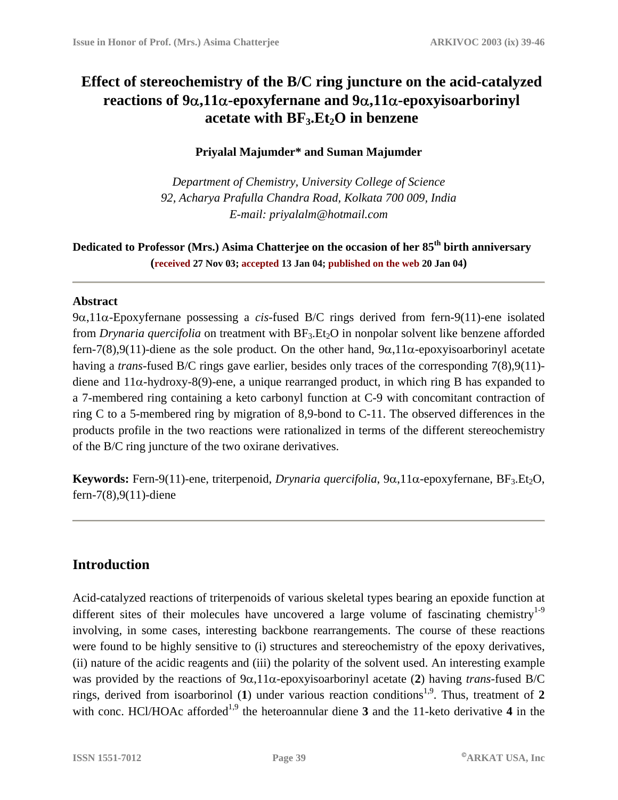# **Effect of stereochemistry of the B/C ring juncture on the acid-catalyzed reactions of 9**α**,11**α**-epoxyfernane and 9**α**,11**α**-epoxyisoarborinyl**  acetate with BF<sub>3</sub>.Et<sub>2</sub>O in benzene

#### **Priyalal Majumder\* and Suman Majumder**

*Department of Chemistry, University College of Science 92, Acharya Prafulla Chandra Road, Kolkata 700 009, India E-mail: priyalalm@hotmail.com* 

**Dedicated to Professor (Mrs.) Asima Chatterjee on the occasion of her 85th birth anniversary (received 27 Nov 03; accepted 13 Jan 04; published on the web 20 Jan 04)**

#### **Abstract**

9α,11α-Epoxyfernane possessing a *cis*-fused B/C rings derived from fern-9(11)-ene isolated from *Drynaria quercifolia* on treatment with BF<sub>3</sub>.Et<sub>2</sub>O in nonpolar solvent like benzene afforded fern-7(8),9(11)-diene as the sole product. On the other hand, 9α,11α-epoxyisoarborinyl acetate having a *trans*-fused B/C rings gave earlier, besides only traces of the corresponding 7(8),9(11) diene and  $11\alpha$ -hydroxy-8(9)-ene, a unique rearranged product, in which ring B has expanded to a 7-membered ring containing a keto carbonyl function at C-9 with concomitant contraction of ring C to a 5-membered ring by migration of 8,9-bond to C-11. The observed differences in the products profile in the two reactions were rationalized in terms of the different stereochemistry of the B/C ring juncture of the two oxirane derivatives.

**Keywords:** Fern-9(11)-ene, triterpenoid, *Drynaria quercifolia*, 9α, 11α-epoxyfernane, BF<sub>3</sub>.Et<sub>2</sub>O, fern-7(8),9(11)-diene

# **Introduction**

Acid-catalyzed reactions of triterpenoids of various skeletal types bearing an epoxide function at different sites of their molecules have uncovered a large volume of fascinating chemistry<sup>1-9</sup> involving, in some cases, interesting backbone rearrangements. The course of these reactions were found to be highly sensitive to (i) structures and stereochemistry of the epoxy derivatives, (ii) nature of the acidic reagents and (iii) the polarity of the solvent used. An interesting example was provided by the reactions of 9α,11α-epoxyisoarborinyl acetate (**2**) having *trans-*fused B/C rings, derived from isoarborinol (1) under various reaction conditions<sup>1,9</sup>. Thus, treatment of 2 with conc. HCl/HOAc afforded<sup>1,9</sup> the heteroannular diene  $\overline{3}$  and the 11-keto derivative  $\overline{4}$  in the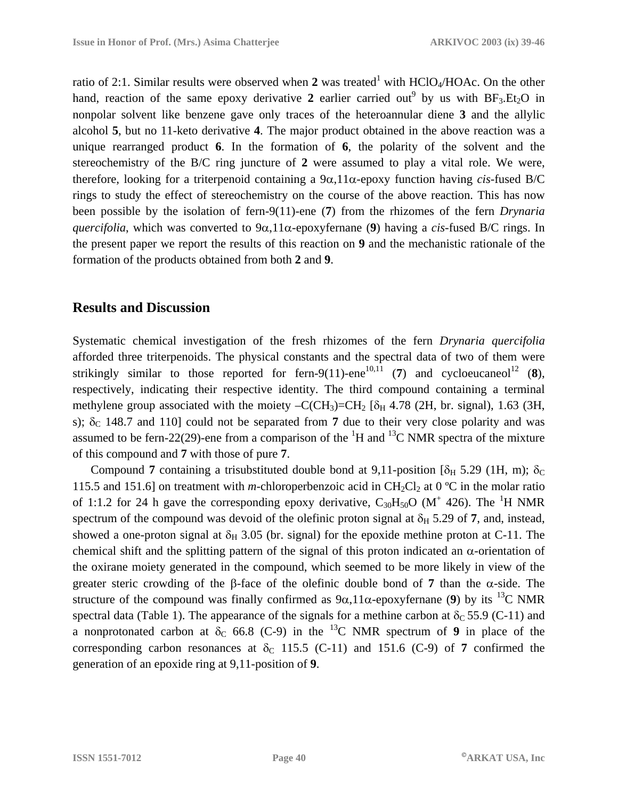ratio of 2:1. Similar results were observed when 2 was treated<sup>1</sup> with HClO<sub>4</sub>/HOAc. On the other hand, reaction of the same epoxy derivative 2 earlier carried out<sup>9</sup> by us with  $BF_3.Et_2O$  in nonpolar solvent like benzene gave only traces of the heteroannular diene **3** and the allylic alcohol **5**, but no 11-keto derivative **4**. The major product obtained in the above reaction was a unique rearranged product **6**. In the formation of **6**, the polarity of the solvent and the stereochemistry of the B/C ring juncture of **2** were assumed to play a vital role. We were, therefore, looking for a triterpenoid containing a 9α,11α-epoxy function having *cis*-fused B/C rings to study the effect of stereochemistry on the course of the above reaction. This has now been possible by the isolation of fern-9(11)-ene (**7**) from the rhizomes of the fern *Drynaria quercifolia*, which was converted to 9α,11α-epoxyfernane (**9**) having a *cis*-fused B/C rings. In the present paper we report the results of this reaction on **9** and the mechanistic rationale of the formation of the products obtained from both **2** and **9**.

### **Results and Discussion**

Systematic chemical investigation of the fresh rhizomes of the fern *Drynaria quercifolia* afforded three triterpenoids. The physical constants and the spectral data of two of them were strikingly similar to those reported for fern-9(11)-ene<sup>10,11</sup> (7) and cycloeucaneol<sup>12</sup> (8), respectively, indicating their respective identity. The third compound containing a terminal methylene group associated with the moiety –C(CH<sub>3</sub>)=CH<sub>2</sub> [ $\delta$ <sub>H</sub> 4.78 (2H, br. signal), 1.63 (3H, s);  $\delta_c$  148.7 and 110] could not be separated from 7 due to their very close polarity and was assumed to be fern-22(29)-ene from a comparison of the  ${}^{1}H$  and  ${}^{13}C$  NMR spectra of the mixture of this compound and **7** with those of pure **7**.

Compound 7 containing a trisubstituted double bond at 9,11-position [ $\delta_H$  5.29 (1H, m);  $\delta_C$ 115.5 and 151.6] on treatment with *m*-chloroperbenzoic acid in  $CH_2Cl_2$  at 0 °C in the molar ratio of 1:1.2 for 24 h gave the corresponding epoxy derivative,  $C_{30}H_{50}O$  (M<sup>+</sup> 426). The <sup>1</sup>H NMR spectrum of the compound was devoid of the olefinic proton signal at  $\delta_H$  5.29 of 7, and, instead, showed a one-proton signal at  $\delta_H$  3.05 (br. signal) for the epoxide methine proton at C-11. The chemical shift and the splitting pattern of the signal of this proton indicated an  $\alpha$ -orientation of the oxirane moiety generated in the compound, which seemed to be more likely in view of the greater steric crowding of the β-face of the olefinic double bond of **7** than the α-side. The structure of the compound was finally confirmed as  $9\alpha$ , 11 $\alpha$ -epoxyfernane (9) by its <sup>13</sup>C NMR spectral data (Table 1). The appearance of the signals for a methine carbon at  $\delta_c$  55.9 (C-11) and a nonprotonated carbon at  $\delta_c$  66.8 (C-9) in the <sup>13</sup>C NMR spectrum of **9** in place of the corresponding carbon resonances at  $\delta_C$  115.5 (C-11) and 151.6 (C-9) of 7 confirmed the generation of an epoxide ring at 9,11-position of **9**.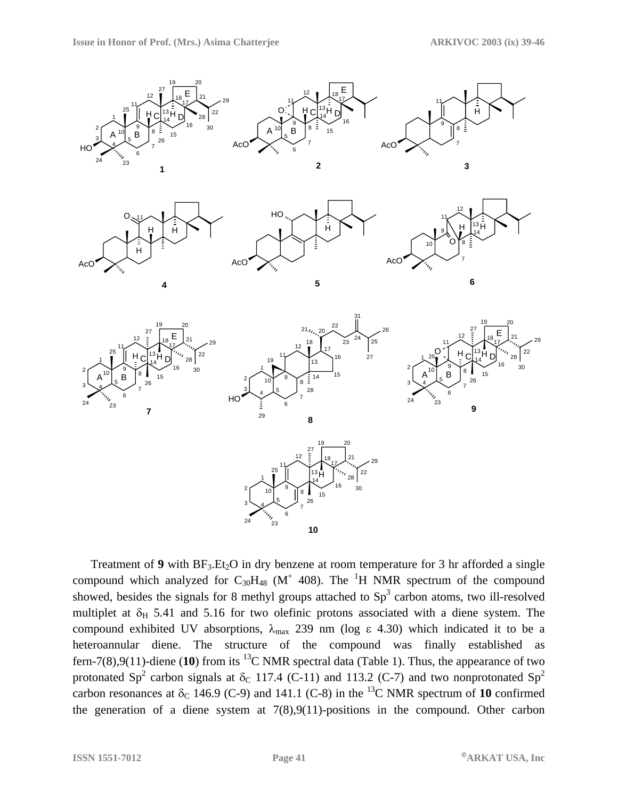

Treatment of 9 with  $BF_3.Et_2O$  in dry benzene at room temperature for 3 hr afforded a single compound which analyzed for  $C_{30}H_{48}$  (M<sup>+</sup> 408). The <sup>1</sup>H NMR spectrum of the compound showed, besides the signals for 8 methyl groups attached to  $Sp<sup>3</sup>$  carbon atoms, two ill-resolved multiplet at  $\delta_H$  5.41 and 5.16 for two olefinic protons associated with a diene system. The compound exhibited UV absorptions,  $\lambda_{\text{max}}$  239 nm (log  $\varepsilon$  4.30) which indicated it to be a heteroannular diene. The structure of the compound was finally established as fern-7(8),9(11)-diene (10) from its <sup>13</sup>C NMR spectral data (Table 1). Thus, the appearance of two protonated Sp<sup>2</sup> carbon signals at  $\delta_c$  117.4 (C-11) and 113.2 (C-7) and two nonprotonated Sp<sup>2</sup> carbon resonances at  $\delta_c$  146.9 (C-9) and 141.1 (C-8) in the <sup>13</sup>C NMR spectrum of **10** confirmed the generation of a diene system at  $7(8), 9(11)$ -positions in the compound. Other carbon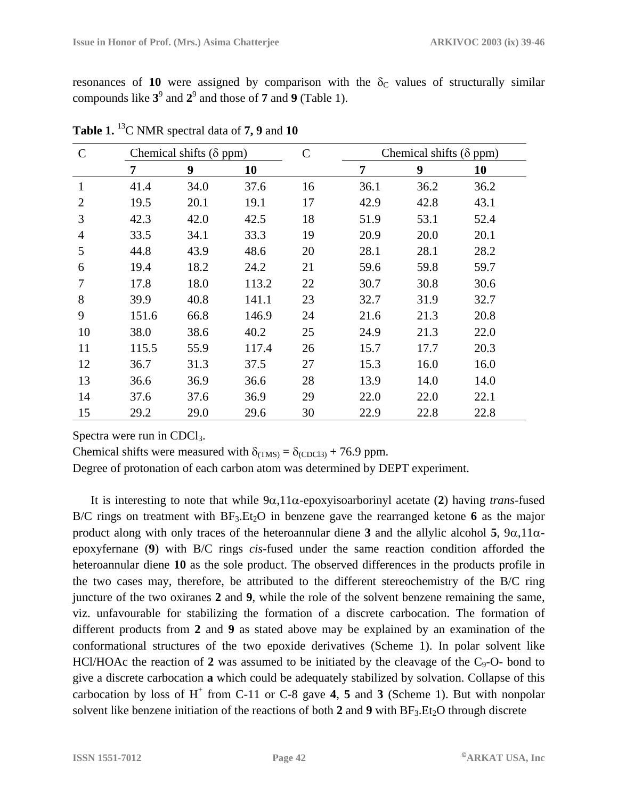resonances of 10 were assigned by comparison with the  $\delta_c$  values of structurally similar compounds like  $3^9$  and  $2^9$  and those of **7** and **9** (Table 1).

| $\mathsf{C}$   | Chemical shifts ( $\delta$ ppm) |      |       | $\mathsf{C}$ | Chemical shifts $(\delta$ ppm) |      |      |
|----------------|---------------------------------|------|-------|--------------|--------------------------------|------|------|
|                | $\overline{7}$                  | 9    | 10    |              | 7                              | 9    | 10   |
| 1              | 41.4                            | 34.0 | 37.6  | 16           | 36.1                           | 36.2 | 36.2 |
| $\overline{2}$ | 19.5                            | 20.1 | 19.1  | 17           | 42.9                           | 42.8 | 43.1 |
| 3              | 42.3                            | 42.0 | 42.5  | 18           | 51.9                           | 53.1 | 52.4 |
| 4              | 33.5                            | 34.1 | 33.3  | 19           | 20.9                           | 20.0 | 20.1 |
| 5              | 44.8                            | 43.9 | 48.6  | 20           | 28.1                           | 28.1 | 28.2 |
| 6              | 19.4                            | 18.2 | 24.2  | 21           | 59.6                           | 59.8 | 59.7 |
| 7              | 17.8                            | 18.0 | 113.2 | 22           | 30.7                           | 30.8 | 30.6 |
| 8              | 39.9                            | 40.8 | 141.1 | 23           | 32.7                           | 31.9 | 32.7 |
| 9              | 151.6                           | 66.8 | 146.9 | 24           | 21.6                           | 21.3 | 20.8 |
| 10             | 38.0                            | 38.6 | 40.2  | 25           | 24.9                           | 21.3 | 22.0 |
| 11             | 115.5                           | 55.9 | 117.4 | 26           | 15.7                           | 17.7 | 20.3 |
| 12             | 36.7                            | 31.3 | 37.5  | 27           | 15.3                           | 16.0 | 16.0 |
| 13             | 36.6                            | 36.9 | 36.6  | 28           | 13.9                           | 14.0 | 14.0 |
| 14             | 37.6                            | 37.6 | 36.9  | 29           | 22.0                           | 22.0 | 22.1 |
| 15             | 29.2                            | 29.0 | 29.6  | 30           | 22.9                           | 22.8 | 22.8 |

**Table 1.** 13C NMR spectral data of **7, 9** and **10** 

Spectra were run in CDCl<sub>3</sub>.

Chemical shifts were measured with  $\delta_{(TMS)} = \delta_{(CDC13)} + 76.9$  ppm.

Degree of protonation of each carbon atom was determined by DEPT experiment.

It is interesting to note that while 9α,11α-epoxyisoarborinyl acetate (**2**) having *trans*-fused B/C rings on treatment with  $BF_3.Et_2O$  in benzene gave the rearranged ketone 6 as the major product along with only traces of the heteroannular diene **3** and the allylic alcohol **5**,  $9\alpha$ ,  $11\alpha$ epoxyfernane (**9**) with B/C rings *cis*-fused under the same reaction condition afforded the heteroannular diene **10** as the sole product. The observed differences in the products profile in the two cases may, therefore, be attributed to the different stereochemistry of the B/C ring juncture of the two oxiranes **2** and **9**, while the role of the solvent benzene remaining the same, viz. unfavourable for stabilizing the formation of a discrete carbocation. The formation of different products from **2** and **9** as stated above may be explained by an examination of the conformational structures of the two epoxide derivatives (Scheme 1). In polar solvent like HCl/HOAc the reaction of 2 was assumed to be initiated by the cleavage of the  $C_9$ -O- bond to give a discrete carbocation **a** which could be adequately stabilized by solvation. Collapse of this carbocation by loss of  $H^+$  from C-11 or C-8 gave 4, 5 and 3 (Scheme 1). But with nonpolar solvent like benzene initiation of the reactions of both  $2$  and  $9$  with  $BF_3.Et_2O$  through discrete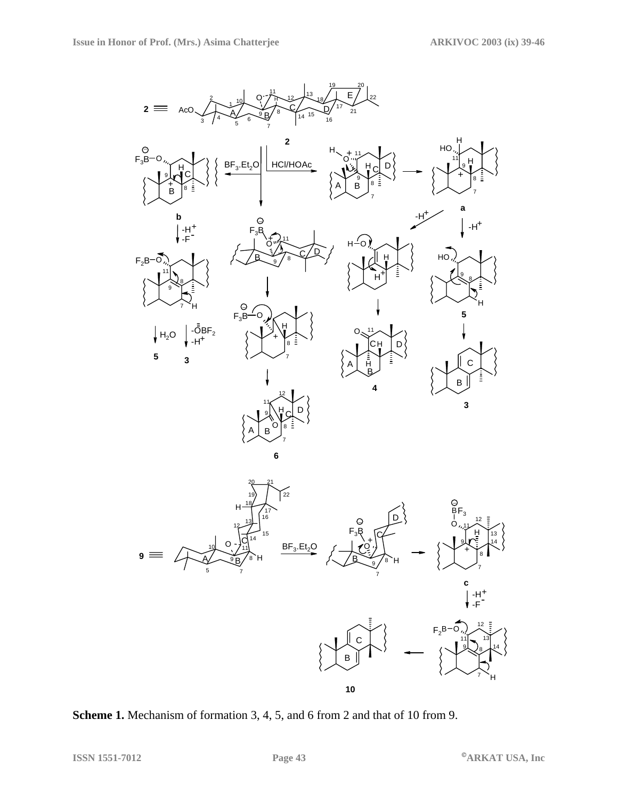

**Scheme 1.** Mechanism of formation 3, 4, 5, and 6 from 2 and that of 10 from 9.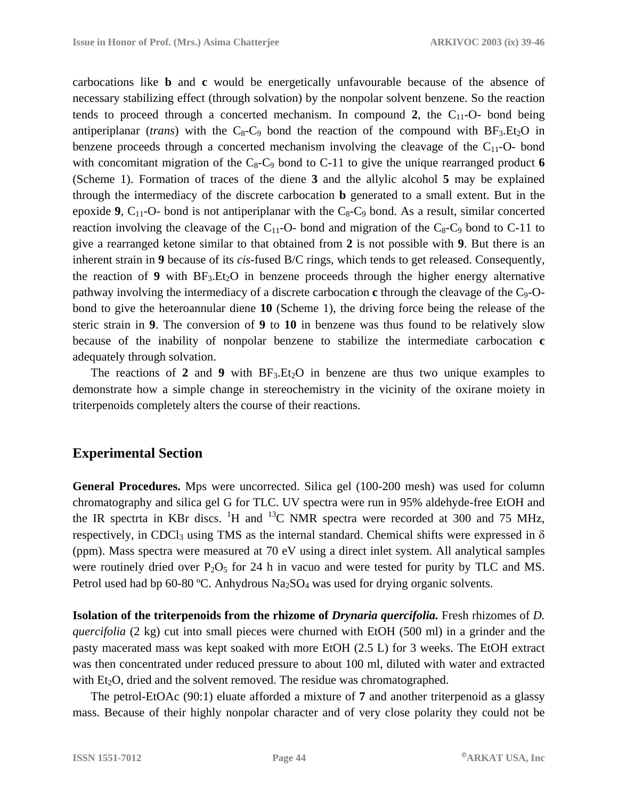carbocations like **b** and **c** would be energetically unfavourable because of the absence of necessary stabilizing effect (through solvation) by the nonpolar solvent benzene. So the reaction tends to proceed through a concerted mechanism. In compound 2, the  $C_{11}$ -O- bond being antiperiplanar (*trans*) with the  $C_8$ - $C_9$  bond the reaction of the compound with  $BF_3.Et_2O$  in benzene proceeds through a concerted mechanism involving the cleavage of the  $C_{11}$ -O- bond with concomitant migration of the  $C_8-C_9$  bond to C-11 to give the unique rearranged product 6 (Scheme 1). Formation of traces of the diene **3** and the allylic alcohol **5** may be explained through the intermediacy of the discrete carbocation **b** generated to a small extent. But in the epoxide **9**,  $C_{11}$ -O- bond is not antiperiplanar with the  $C_8$ - $C_9$  bond. As a result, similar concerted reaction involving the cleavage of the  $C_{11}$ -O- bond and migration of the  $C_8$ - $C_9$  bond to C-11 to give a rearranged ketone similar to that obtained from **2** is not possible with **9**. But there is an inherent strain in **9** because of its *cis*-fused B/C rings, which tends to get released. Consequently, the reaction of **9** with  $BF_3.Et_2O$  in benzene proceeds through the higher energy alternative pathway involving the intermediacy of a discrete carbocation **c** through the cleavage of the C9-Obond to give the heteroannular diene **10** (Scheme 1), the driving force being the release of the steric strain in **9**. The conversion of **9** to **10** in benzene was thus found to be relatively slow because of the inability of nonpolar benzene to stabilize the intermediate carbocation **c** adequately through solvation.

The reactions of 2 and 9 with  $BF_3.Et_2O$  in benzene are thus two unique examples to demonstrate how a simple change in stereochemistry in the vicinity of the oxirane moiety in triterpenoids completely alters the course of their reactions.

#### **Experimental Section**

**General Procedures.** Mps were uncorrected. Silica gel (100-200 mesh) was used for column chromatography and silica gel G for TLC. UV spectra were run in 95% aldehyde-free EtOH and the IR spectrta in KBr discs.  ${}^{1}H$  and  ${}^{13}C$  NMR spectra were recorded at 300 and 75 MHz, respectively, in CDCl<sub>3</sub> using TMS as the internal standard. Chemical shifts were expressed in  $\delta$ (ppm). Mass spectra were measured at 70 eV using a direct inlet system. All analytical samples were routinely dried over  $P_2O_5$  for 24 h in vacuo and were tested for purity by TLC and MS. Petrol used had bp 60-80 °C. Anhydrous  $Na<sub>2</sub>SO<sub>4</sub>$  was used for drying organic solvents.

**Isolation of the triterpenoids from the rhizome of** *Drynaria quercifolia.* Fresh rhizomes of *D. quercifolia* (2 kg) cut into small pieces were churned with EtOH (500 ml) in a grinder and the pasty macerated mass was kept soaked with more EtOH (2.5 L) for 3 weeks. The EtOH extract was then concentrated under reduced pressure to about 100 ml, diluted with water and extracted with Et<sub>2</sub>O, dried and the solvent removed. The residue was chromatographed.

The petrol-EtOAc (90:1) eluate afforded a mixture of **7** and another triterpenoid as a glassy mass. Because of their highly nonpolar character and of very close polarity they could not be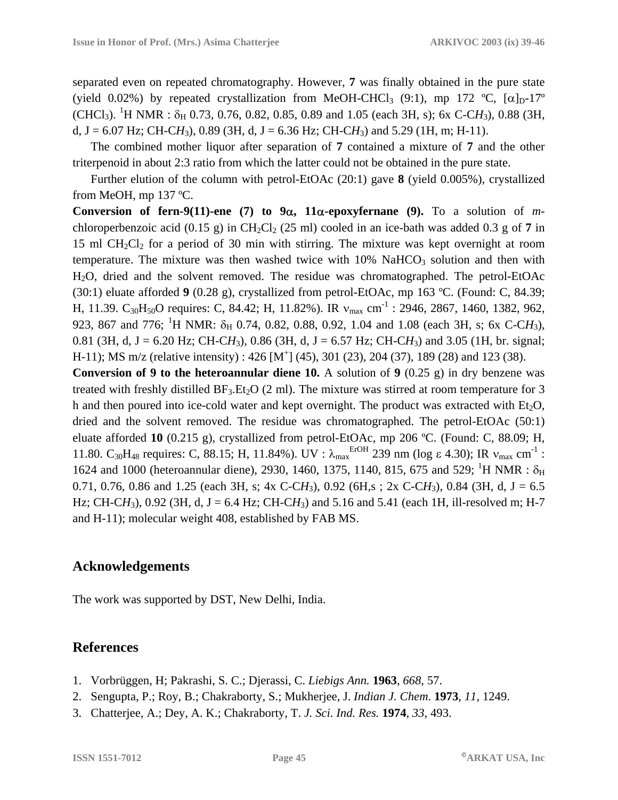separated even on repeated chromatography. However, **7** was finally obtained in the pure state (yield 0.02%) by repeated crystallization from MeOH-CHCl<sub>3</sub> (9:1), mp 172 °C,  $[\alpha]_D$ -17°  $(CHCl<sub>3</sub>)$ . <sup>1</sup>H NMR :  $\delta_H$  0.73, 0.76, 0.82, 0.85, 0.89 and 1.05 (each 3H, s); 6x C-CH<sub>3</sub>), 0.88 (3H, d,  $J = 6.07$  Hz; CH-CH<sub>3</sub>), 0.89 (3H, d,  $J = 6.36$  Hz; CH-CH<sub>3</sub>) and 5.29 (1H, m; H-11).

The combined mother liquor after separation of **7** contained a mixture of **7** and the other triterpenoid in about 2:3 ratio from which the latter could not be obtained in the pure state.

Further elution of the column with petrol-EtOAc (20:1) gave **8** (yield 0.005%), crystallized from MeOH, mp 137 ºC.

**Conversion of fern-9(11)-ene (7) to 9**α**, 11**α**-epoxyfernane (9).** To a solution of *m*chloroperbenzoic acid  $(0.15 \text{ g})$  in CH<sub>2</sub>Cl<sub>2</sub> (25 ml) cooled in an ice-bath was added 0.3 g of 7 in 15 ml  $CH_2Cl_2$  for a period of 30 min with stirring. The mixture was kept overnight at room temperature. The mixture was then washed twice with  $10\%$  NaHCO<sub>3</sub> solution and then with H2O, dried and the solvent removed. The residue was chromatographed. The petrol-EtOAc (30:1) eluate afforded **9** (0.28 g), crystallized from petrol-EtOAc, mp 163 ºC. (Found: C, 84.39; H, 11.39. C<sub>30</sub>H<sub>50</sub>O requires: C, 84.42; H, 11.82%). IR  $v_{max}$  cm<sup>-1</sup> : 2946, 2867, 1460, 1382, 962, 923, 867 and 776; <sup>1</sup>H NMR: δ<sub>H</sub> 0.74, 0.82, 0.88, 0.92, 1.04 and 1.08 (each 3H, s; 6x C-CH<sub>3</sub>), 0.81 (3H, d, J = 6.20 Hz; CH-CH<sub>3</sub>), 0.86 (3H, d, J = 6.57 Hz; CH-CH<sub>3</sub>) and 3.05 (1H, br. signal; H-11); MS m/z (relative intensity) : 426 [M<sup>+</sup>] (45), 301 (23), 204 (37), 189 (28) and 123 (38).

**Conversion of 9 to the heteroannular diene 10.** A solution of **9** (0.25 g) in dry benzene was treated with freshly distilled  $BF_3.Et_2O$  (2 ml). The mixture was stirred at room temperature for 3 h and then poured into ice-cold water and kept overnight. The product was extracted with  $Et_2O$ , dried and the solvent removed. The residue was chromatographed. The petrol-EtOAc (50:1) eluate afforded **10** (0.215 g), crystallized from petrol-EtOAc, mp 206 ºC. (Found: C, 88.09; H, 11.80. C<sub>30</sub>H<sub>48</sub> requires: C, 88.15; H, 11.84%). UV : λ<sub>max</sub> E<sup>rOH</sup> 239 nm (log ε 4.30); IR v<sub>max</sub> cm<sup>-1</sup> : 1624 and 1000 (heteroannular diene), 2930, 1460, 1375, 1140, 815, 675 and 529; <sup>1</sup>H NMR :  $\delta_H$ 0.71, 0.76, 0.86 and 1.25 (each 3H, s; 4x C-CH<sub>3</sub>), 0.92 (6H,s; 2x C-CH<sub>3</sub>), 0.84 (3H, d, J = 6.5 Hz; CH-C $H_3$ ), 0.92 (3H, d, J = 6.4 Hz; CH-C $H_3$ ) and 5.16 and 5.41 (each 1H, ill-resolved m; H-7 and H-11); molecular weight 408, established by FAB MS.

# **Acknowledgements**

The work was supported by DST, New Delhi, India.

# **References**

- 1. Vorbrüggen, H; Pakrashi, S. C.; Djerassi, C. *Liebigs Ann.* **1963**, *668*, 57.
- 2. Sengupta, P.; Roy, B.; Chakraborty, S.; Mukherjee, J. *Indian J. Chem*. **1973**, *11*, 1249.
- 3. Chatterjee, A.; Dey, A. K.; Chakraborty, T. *J. Sci. Ind. Res.* **1974**, *33*, 493.